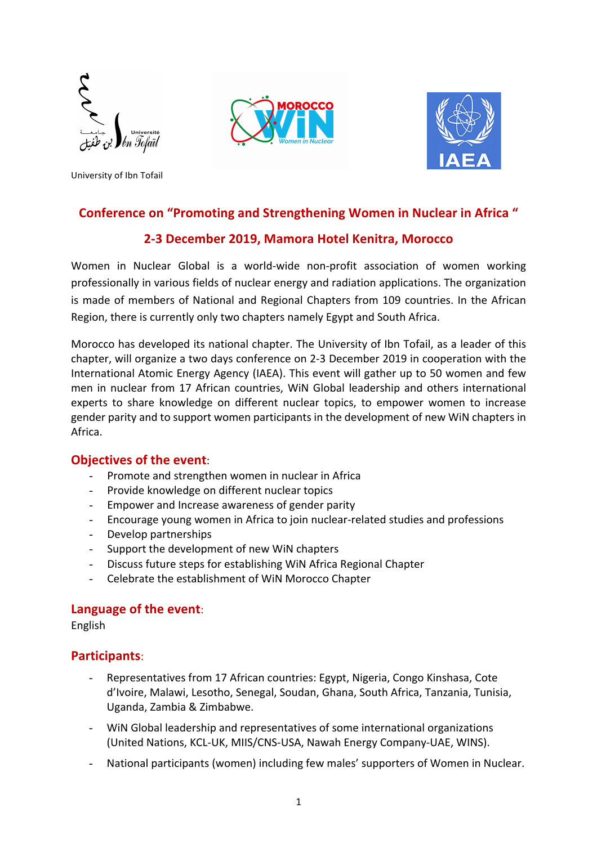







## **Conference on "Promoting and Strengthening Women in Nuclear in Africa "**

## **2-3 December 2019, Mamora Hotel Kenitra, Morocco**

Women in Nuclear Global is a world-wide non-profit association of women working professionally in various fields of nuclear energy and radiation applications. The organization is made of members of National and Regional Chapters from 109 countries. In the African Region, there is currently only two chapters namely Egypt and South Africa.

Morocco has developed its national chapter. The University of Ibn Tofail, as a leader of this chapter, will organize a two days conference on 2-3 December 2019 in cooperation with the International Atomic Energy Agency (IAEA). This event will gather up to 50 women and few men in nuclear from 17 African countries, WiN Global leadership and others international experts to share knowledge on different nuclear topics, to empower women to increase gender parity and to support women participants in the development of new WiN chapters in Africa.

#### **Objectives of the event:**

- Promote and strengthen women in nuclear in Africa
- Provide knowledge on different nuclear topics
- Empower and Increase awareness of gender parity
- Encourage young women in Africa to join nuclear-related studies and professions
- Develop partnerships
- Support the development of new WiN chapters
- Discuss future steps for establishing WiN Africa Regional Chapter
- Celebrate the establishment of WiN Morocco Chapter

#### Language of the event:

English

#### **Participants**:

- Representatives from 17 African countries: Egypt, Nigeria, Congo Kinshasa, Cote d'Ivoire, Malawi, Lesotho, Senegal, Soudan, Ghana, South Africa, Tanzania, Tunisia, Uganda, Zambia & Zimbabwe.
- WiN Global leadership and representatives of some international organizations (United Nations, KCL-UK, MIIS/CNS-USA, Nawah Energy Company-UAE, WINS).
- National participants (women) including few males' supporters of Women in Nuclear.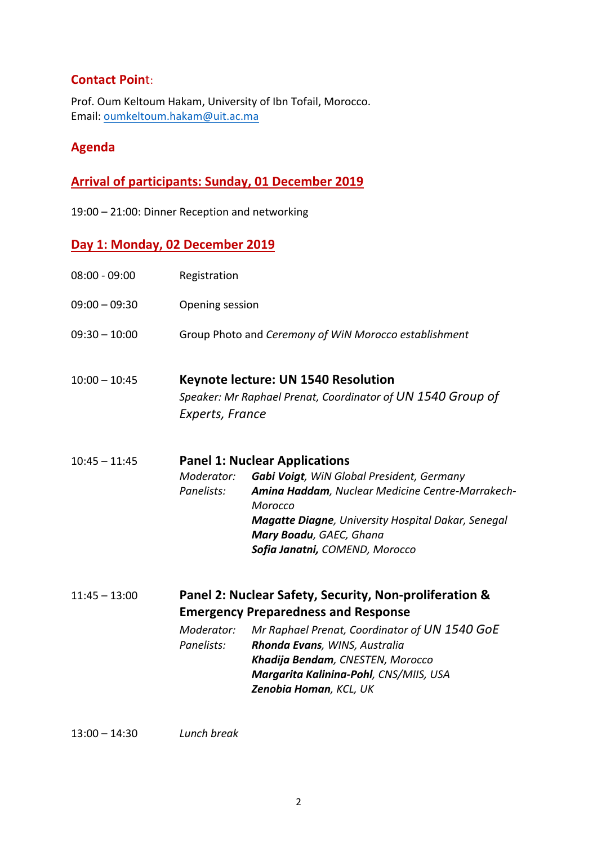## **Contact Point:**

Prof. Oum Keltoum Hakam, University of Ibn Tofail, Morocco. Email: oumkeltoum.hakam@uit.ac.ma

## **Agenda**

# **Arrival of participants: Sunday, 01 December 2019**

19:00 - 21:00: Dinner Reception and networking

## Day 1: Monday, 02 December 2019

| $08:00 - 09:00$ | Registration                                          |                                                                                                                                                                                                                                                                                                |  |  |  |
|-----------------|-------------------------------------------------------|------------------------------------------------------------------------------------------------------------------------------------------------------------------------------------------------------------------------------------------------------------------------------------------------|--|--|--|
| $09:00 - 09:30$ | Opening session                                       |                                                                                                                                                                                                                                                                                                |  |  |  |
| $09:30 - 10:00$ | Group Photo and Ceremony of WiN Morocco establishment |                                                                                                                                                                                                                                                                                                |  |  |  |
| $10:00 - 10:45$ | Experts, France                                       | Keynote lecture: UN 1540 Resolution<br>Speaker: Mr Raphael Prenat, Coordinator of UN 1540 Group of                                                                                                                                                                                             |  |  |  |
| $10:45 - 11:45$ | Moderator:<br>Panelists:                              | <b>Panel 1: Nuclear Applications</b><br>Gabi Voigt, WiN Global President, Germany<br>Amina Haddam, Nuclear Medicine Centre-Marrakech-<br>Morocco<br><b>Magatte Diagne</b> , University Hospital Dakar, Senegal<br>Mary Boadu, GAEC, Ghana<br>Sofia Janatni, COMEND, Morocco                    |  |  |  |
| $11:45 - 13:00$ | Moderator:<br>Panelists:                              | Panel 2: Nuclear Safety, Security, Non-proliferation &<br><b>Emergency Preparedness and Response</b><br>Mr Raphael Prenat, Coordinator of UN 1540 GoE<br>Rhonda Evans, WINS, Australia<br>Khadija Bendam, CNESTEN, Morocco<br>Margarita Kalinina-Pohl, CNS/MIIS, USA<br>Zenobia Homan, KCL, UK |  |  |  |

13:00 – 14:30 *Lunch break*